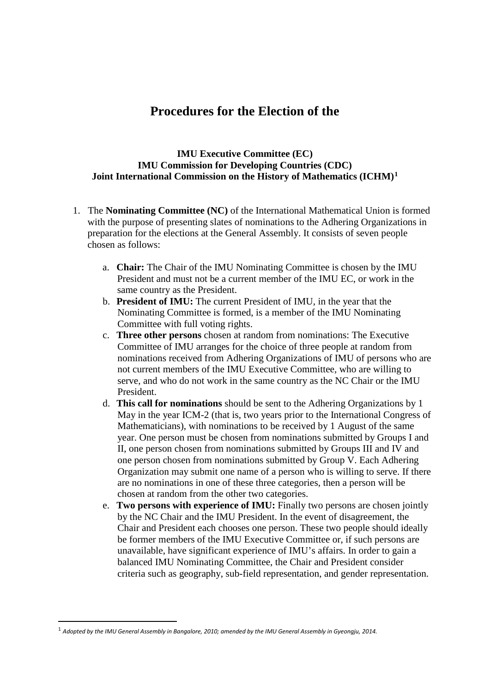# **Procedures for the Election of the**

### **IMU Executive Committee (EC) IMU Commission for Developing Countries (CDC) Joint International Commission on the History of Mathematics (ICHM)[1](#page-0-0)**

- 1. The **Nominating Committee (NC)** of the International Mathematical Union is formed with the purpose of presenting slates of nominations to the Adhering Organizations in preparation for the elections at the General Assembly. It consists of seven people chosen as follows:
	- a. **Chair:** The Chair of the IMU Nominating Committee is chosen by the IMU President and must not be a current member of the IMU EC, or work in the same country as the President.
	- b. **President of IMU:** The current President of IMU, in the year that the Nominating Committee is formed, is a member of the IMU Nominating Committee with full voting rights.
	- c. **Three other persons** chosen at random from nominations: The Executive Committee of IMU arranges for the choice of three people at random from nominations received from Adhering Organizations of IMU of persons who are not current members of the IMU Executive Committee, who are willing to serve, and who do not work in the same country as the NC Chair or the IMU President.
	- d. **This call for nominations** should be sent to the Adhering Organizations by 1 May in the year ICM-2 (that is, two years prior to the International Congress of Mathematicians), with nominations to be received by 1 August of the same year. One person must be chosen from nominations submitted by Groups I and II, one person chosen from nominations submitted by Groups III and IV and one person chosen from nominations submitted by Group V. Each Adhering Organization may submit one name of a person who is willing to serve. If there are no nominations in one of these three categories, then a person will be chosen at random from the other two categories.
	- e. **Two persons with experience of IMU:** Finally two persons are chosen jointly by the NC Chair and the IMU President. In the event of disagreement, the Chair and President each chooses one person. These two people should ideally be former members of the IMU Executive Committee or, if such persons are unavailable, have significant experience of IMU's affairs. In order to gain a balanced IMU Nominating Committee, the Chair and President consider criteria such as geography, sub-field representation, and gender representation.

<span id="page-0-0"></span> <sup>1</sup> *Adopted by the IMU General Assembly in Bangalore, 2010; amended by the IMU General Assembly in Gyeongju, 2014.*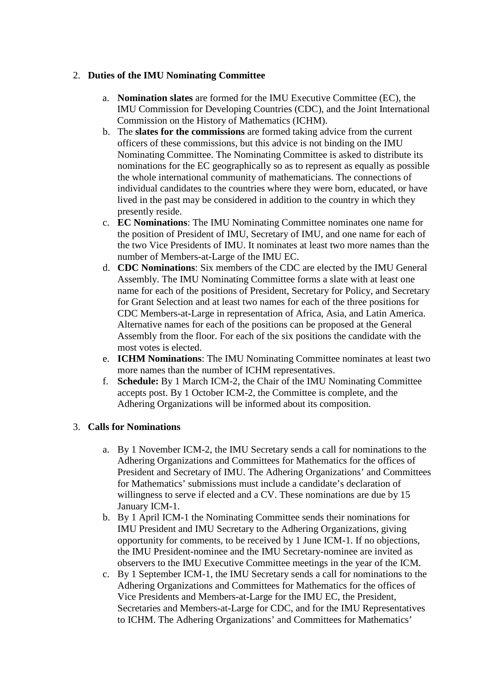## 2. **Duties of the IMU Nominating Committee**

- a. **Nomination slates** are formed for the IMU Executive Committee (EC), the IMU Commission for Developing Countries (CDC), and the Joint International Commission on the History of Mathematics (ICHM).
- b. The **slates for the commissions** are formed taking advice from the current officers of these commissions, but this advice is not binding on the IMU Nominating Committee. The Nominating Committee is asked to distribute its nominations for the EC geographically so as to represent as equally as possible the whole international community of mathematicians. The connections of individual candidates to the countries where they were born, educated, or have lived in the past may be considered in addition to the country in which they presently reside.
- c. **EC Nominations**: The IMU Nominating Committee nominates one name for the position of President of IMU, Secretary of IMU, and one name for each of the two Vice Presidents of IMU. It nominates at least two more names than the number of Members-at-Large of the IMU EC.
- d. **CDC Nominations**: Six members of the CDC are elected by the IMU General Assembly. The IMU Nominating Committee forms a slate with at least one name for each of the positions of President, Secretary for Policy, and Secretary for Grant Selection and at least two names for each of the three positions for CDC Members-at-Large in representation of Africa, Asia, and Latin America. Alternative names for each of the positions can be proposed at the General Assembly from the floor. For each of the six positions the candidate with the most votes is elected.
- e. **ICHM Nominations**: The IMU Nominating Committee nominates at least two more names than the number of ICHM representatives.
- f. **Schedule:** By 1 March ICM-2, the Chair of the IMU Nominating Committee accepts post. By 1 October ICM-2, the Committee is complete, and the Adhering Organizations will be informed about its composition.

## 3. **Calls for Nominations**

- a. By 1 November ICM-2, the IMU Secretary sends a call for nominations to the Adhering Organizations and Committees for Mathematics for the offices of President and Secretary of IMU. The Adhering Organizations' and Committees for Mathematics' submissions must include a candidate's declaration of willingness to serve if elected and a CV. These nominations are due by 15 January ICM-1.
- b. By 1 April ICM-1 the Nominating Committee sends their nominations for IMU President and IMU Secretary to the Adhering Organizations, giving opportunity for comments, to be received by 1 June ICM-1. If no objections, the IMU President-nominee and the IMU Secretary-nominee are invited as observers to the IMU Executive Committee meetings in the year of the ICM.
- c. By 1 September ICM-1, the IMU Secretary sends a call for nominations to the Adhering Organizations and Committees for Mathematics for the offices of Vice Presidents and Members-at-Large for the IMU EC, the President, Secretaries and Members-at-Large for CDC, and for the IMU Representatives to ICHM. The Adhering Organizations' and Committees for Mathematics'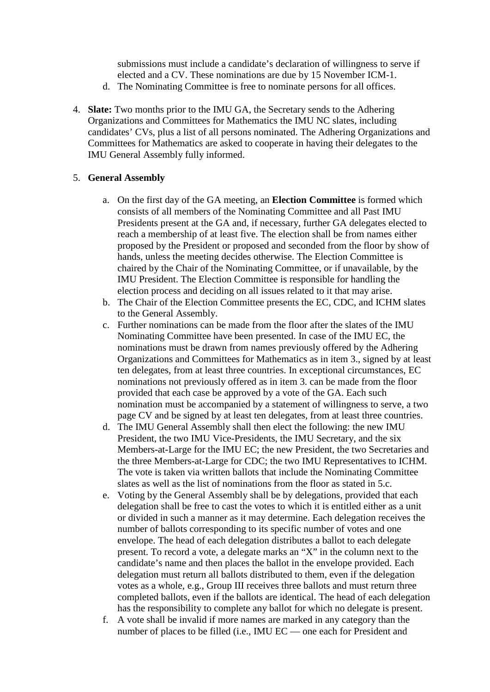submissions must include a candidate's declaration of willingness to serve if elected and a CV. These nominations are due by 15 November ICM-1.

- d. The Nominating Committee is free to nominate persons for all offices.
- 4. **Slate:** Two months prior to the IMU GA, the Secretary sends to the Adhering Organizations and Committees for Mathematics the IMU NC slates, including candidates' CVs, plus a list of all persons nominated. The Adhering Organizations and Committees for Mathematics are asked to cooperate in having their delegates to the IMU General Assembly fully informed.

### 5. **General Assembly**

- a. On the first day of the GA meeting, an **Election Committee** is formed which consists of all members of the Nominating Committee and all Past IMU Presidents present at the GA and, if necessary, further GA delegates elected to reach a membership of at least five. The election shall be from names either proposed by the President or proposed and seconded from the floor by show of hands, unless the meeting decides otherwise. The Election Committee is chaired by the Chair of the Nominating Committee, or if unavailable, by the IMU President. The Election Committee is responsible for handling the election process and deciding on all issues related to it that may arise.
- b. The Chair of the Election Committee presents the EC, CDC, and ICHM slates to the General Assembly.
- c. Further nominations can be made from the floor after the slates of the IMU Nominating Committee have been presented. In case of the IMU EC, the nominations must be drawn from names previously offered by the Adhering Organizations and Committees for Mathematics as in item 3., signed by at least ten delegates, from at least three countries. In exceptional circumstances, EC nominations not previously offered as in item 3. can be made from the floor provided that each case be approved by a vote of the GA. Each such nomination must be accompanied by a statement of willingness to serve, a two page CV and be signed by at least ten delegates, from at least three countries.
- d. The IMU General Assembly shall then elect the following: the new IMU President, the two IMU Vice-Presidents, the IMU Secretary, and the six Members-at-Large for the IMU EC; the new President, the two Secretaries and the three Members-at-Large for CDC; the two IMU Representatives to ICHM. The vote is taken via written ballots that include the Nominating Committee slates as well as the list of nominations from the floor as stated in 5.c.
- e. Voting by the General Assembly shall be by delegations, provided that each delegation shall be free to cast the votes to which it is entitled either as a unit or divided in such a manner as it may determine. Each delegation receives the number of ballots corresponding to its specific number of votes and one envelope. The head of each delegation distributes a ballot to each delegate present. To record a vote, a delegate marks an "X" in the column next to the candidate's name and then places the ballot in the envelope provided. Each delegation must return all ballots distributed to them, even if the delegation votes as a whole, e.g., Group III receives three ballots and must return three completed ballots, even if the ballots are identical. The head of each delegation has the responsibility to complete any ballot for which no delegate is present.
- f. A vote shall be invalid if more names are marked in any category than the number of places to be filled (i.e., IMU EC — one each for President and